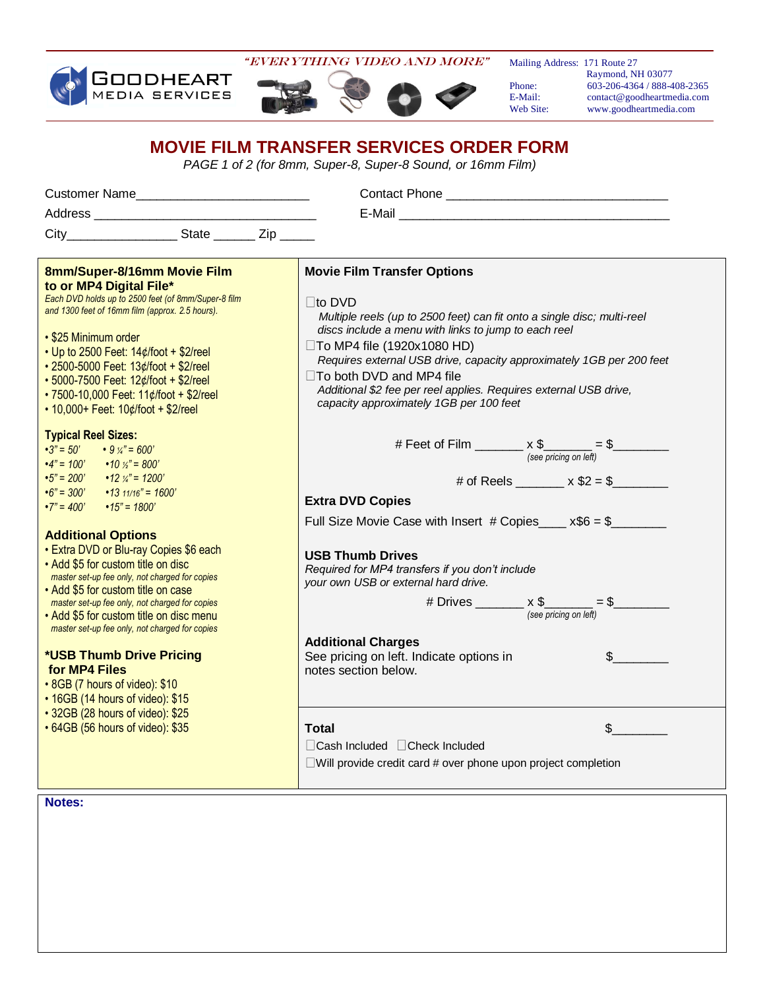

"EVERYTHING Video AND MORE"

Mailing Address: 171 Route 27

 Raymond, NH 03077 Phone: 603-206-4364 / 888-408-2365<br>E-Mail: contact@goodheartmedia.com E-Mail: contact@goodheartmedia.com<br>Web Site: www.goodheartmedia.com www.goodheartmedia.com

## **MOVIE FILM TRANSFER SERVICES ORDER FORM**

*PAGE 1 of 2 (for 8mm, Super-8, Super-8 Sound, or 16mm Film)*

| Customer Name                                                                                                                                                                                                                                                                                                                                                                                                                                                                                                                                                                                                                                                                                                                                                                                         |                                                                                                                                                                                                                                                                                                                                                                                                                                                                                                                                              |
|-------------------------------------------------------------------------------------------------------------------------------------------------------------------------------------------------------------------------------------------------------------------------------------------------------------------------------------------------------------------------------------------------------------------------------------------------------------------------------------------------------------------------------------------------------------------------------------------------------------------------------------------------------------------------------------------------------------------------------------------------------------------------------------------------------|----------------------------------------------------------------------------------------------------------------------------------------------------------------------------------------------------------------------------------------------------------------------------------------------------------------------------------------------------------------------------------------------------------------------------------------------------------------------------------------------------------------------------------------------|
|                                                                                                                                                                                                                                                                                                                                                                                                                                                                                                                                                                                                                                                                                                                                                                                                       |                                                                                                                                                                                                                                                                                                                                                                                                                                                                                                                                              |
| City_______________________State __________ Zip _______                                                                                                                                                                                                                                                                                                                                                                                                                                                                                                                                                                                                                                                                                                                                               |                                                                                                                                                                                                                                                                                                                                                                                                                                                                                                                                              |
|                                                                                                                                                                                                                                                                                                                                                                                                                                                                                                                                                                                                                                                                                                                                                                                                       |                                                                                                                                                                                                                                                                                                                                                                                                                                                                                                                                              |
| 8mm/Super-8/16mm Movie Film<br>to or MP4 Digital File*<br>Each DVD holds up to 2500 feet (of 8mm/Super-8 film<br>and 1300 feet of 16mm film (approx. 2.5 hours).<br>• \$25 Minimum order                                                                                                                                                                                                                                                                                                                                                                                                                                                                                                                                                                                                              | <b>Movie Film Transfer Options</b><br>$\Box$ to DVD<br>Multiple reels (up to 2500 feet) can fit onto a single disc; multi-reel<br>discs include a menu with links to jump to each reel                                                                                                                                                                                                                                                                                                                                                       |
| • Up to 2500 Feet: $14¢$ foot + \$2/reel<br>• 2500-5000 Feet: 13¢/foot + \$2/reel<br>• 5000-7500 Feet: 12¢/foot + \$2/reel<br>• 7500-10,000 Feet: 11¢/foot + \$2/reel<br>• 10,000+ Feet: 10¢/foot + \$2/reel                                                                                                                                                                                                                                                                                                                                                                                                                                                                                                                                                                                          | $\Box$ To MP4 file (1920x1080 HD)<br>Requires external USB drive, capacity approximately 1GB per 200 feet<br>□To both DVD and MP4 file<br>Additional \$2 fee per reel applies. Requires external USB drive,<br>capacity approximately 1GB per 100 feet                                                                                                                                                                                                                                                                                       |
| <b>Typical Reel Sizes:</b><br>$\cdot 3" = 50'$<br>$\cdot$ 9 $\frac{1}{4}$ = 600'<br>$\cdot$ 4" = 100' $\cdot$ 10 $\frac{1}{2}$ " = 800'<br>$\cdot 5" = 200'$ $\cdot 12 \frac{1}{4} = 1200'$<br>$\cdot 6" = 300'$ $\cdot 13 \frac{11}{16} = 1600'$<br>$\cdot 7" = 400'$ $\cdot 15" = 1800'$<br><b>Additional Options</b><br>• Extra DVD or Blu-ray Copies \$6 each<br>• Add \$5 for custom title on disc<br>master set-up fee only, not charged for copies<br>• Add \$5 for custom title on case<br>master set-up fee only, not charged for copies<br>• Add \$5 for custom title on disc menu<br>master set-up fee only, not charged for copies<br>*USB Thumb Drive Pricing<br>for MP4 Files<br>• 8GB (7 hours of video): \$10<br>• 16GB (14 hours of video): \$15<br>• 32GB (28 hours of video): \$25 | # Feet of Film $\underbrace{\hspace{1cm}} x \$<br>$\underset{\hspace{1cm} (see pricing on left)}{=} \$<br># of Reels _________ x $$2 = $$<br><b>Extra DVD Copies</b><br>Full Size Movie Case with Insert # Copies $x$ \$6 = \$<br><b>USB Thumb Drives</b><br>Required for MP4 transfers if you don't include<br>your own USB or external hard drive.<br># Drives $\underbrace{\$} \times \$ \underline{\$} = \$ \underline{\$}$<br><b>Additional Charges</b><br>See pricing on left. Indicate options in<br>$s \sim$<br>notes section below. |
| • 64GB (56 hours of video): \$35                                                                                                                                                                                                                                                                                                                                                                                                                                                                                                                                                                                                                                                                                                                                                                      | $\sim$<br>Total<br>□ Cash Included □ Check Included<br>$\Box$ Will provide credit card # over phone upon project completion                                                                                                                                                                                                                                                                                                                                                                                                                  |
| Notes:                                                                                                                                                                                                                                                                                                                                                                                                                                                                                                                                                                                                                                                                                                                                                                                                |                                                                                                                                                                                                                                                                                                                                                                                                                                                                                                                                              |